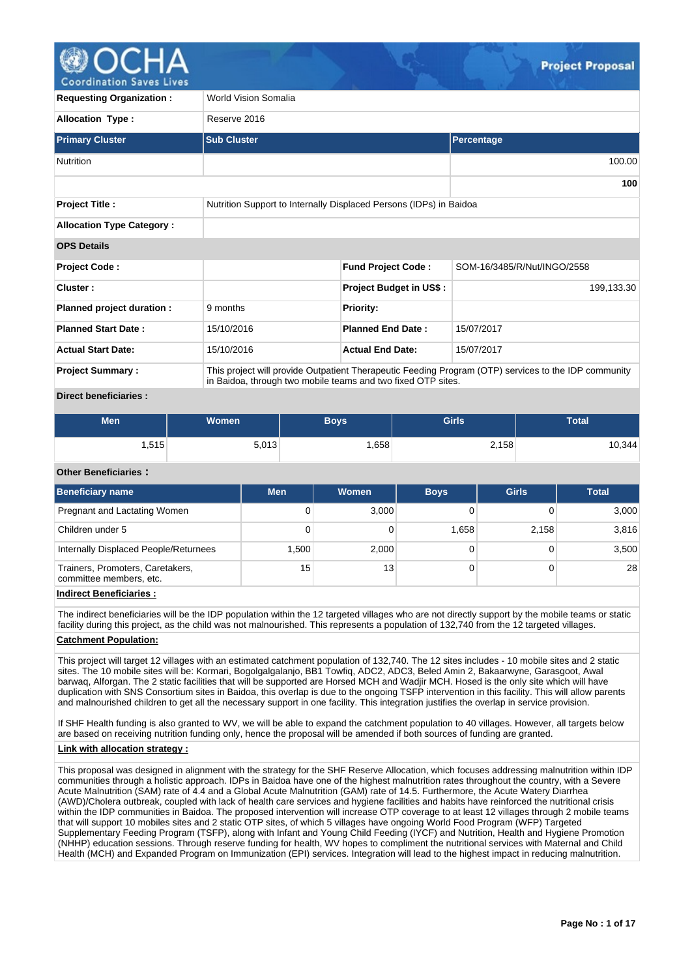

oordination Saves

| <b>Requesting Organization:</b>  | World Vision Somalia |                                                                                                                                                                      |                             |  |  |  |  |  |  |  |
|----------------------------------|----------------------|----------------------------------------------------------------------------------------------------------------------------------------------------------------------|-----------------------------|--|--|--|--|--|--|--|
| <b>Allocation Type:</b>          | Reserve 2016         |                                                                                                                                                                      |                             |  |  |  |  |  |  |  |
| <b>Primary Cluster</b>           | <b>Sub Cluster</b>   |                                                                                                                                                                      | Percentage                  |  |  |  |  |  |  |  |
| <b>Nutrition</b>                 |                      |                                                                                                                                                                      | 100.00                      |  |  |  |  |  |  |  |
|                                  |                      |                                                                                                                                                                      | 100                         |  |  |  |  |  |  |  |
| <b>Project Title:</b>            |                      | Nutrition Support to Internally Displaced Persons (IDPs) in Baidoa                                                                                                   |                             |  |  |  |  |  |  |  |
| <b>Allocation Type Category:</b> |                      |                                                                                                                                                                      |                             |  |  |  |  |  |  |  |
| <b>OPS Details</b>               |                      |                                                                                                                                                                      |                             |  |  |  |  |  |  |  |
| <b>Project Code:</b>             |                      | <b>Fund Project Code:</b>                                                                                                                                            | SOM-16/3485/R/Nut/INGO/2558 |  |  |  |  |  |  |  |
| Cluster:                         |                      | <b>Project Budget in US\$:</b>                                                                                                                                       | 199,133.30                  |  |  |  |  |  |  |  |
| Planned project duration :       | 9 months             | <b>Priority:</b>                                                                                                                                                     |                             |  |  |  |  |  |  |  |
| <b>Planned Start Date:</b>       | 15/10/2016           | <b>Planned End Date:</b>                                                                                                                                             | 15/07/2017                  |  |  |  |  |  |  |  |
| <b>Actual Start Date:</b>        | 15/10/2016           | <b>Actual End Date:</b>                                                                                                                                              | 15/07/2017                  |  |  |  |  |  |  |  |
| <b>Project Summary:</b>          |                      | This project will provide Outpatient Therapeutic Feeding Program (OTP) services to the IDP community<br>in Baidoa, through two mobile teams and two fixed OTP sites. |                             |  |  |  |  |  |  |  |

# **Direct beneficiaries :**

| <b>Men</b> | <b>Women</b> | <b>Boys</b> | Girls | Total  |
|------------|--------------|-------------|-------|--------|
| ∃515.،     | 5,013        | .658        | 2,158 | 10,344 |

#### **Other Beneficiaries :**

| <b>Beneficiary name</b>                                     | <b>Men</b> | Women | <b>Boys</b> | <b>Girls</b> | <b>Total</b> |
|-------------------------------------------------------------|------------|-------|-------------|--------------|--------------|
| Pregnant and Lactating Women                                | 0          | 3,000 |             |              | 3,000        |
| Children under 5                                            | 0          |       | 1.658       | 2.158        | 3,816        |
| Internally Displaced People/Returnees                       | 1.500      | 2,000 |             |              | 3,500        |
| Trainers, Promoters, Caretakers,<br>committee members, etc. | 15         | 13    |             |              | 28           |

# **Indirect Beneficiaries :**

The indirect beneficiaries will be the IDP population within the 12 targeted villages who are not directly support by the mobile teams or static facility during this project, as the child was not malnourished. This represents a population of 132,740 from the 12 targeted villages.

# **Catchment Population:**

This project will target 12 villages with an estimated catchment population of 132,740. The 12 sites includes - 10 mobile sites and 2 static sites. The 10 mobile sites will be: Kormari, Bogolgalgalanjo, BB1 Towfiq, ADC2, ADC3, Beled Amin 2, Bakaarwyne, Garasgoot, Awal barwaq, Alforgan. The 2 static facilities that will be supported are Horsed MCH and Wadjir MCH. Hosed is the only site which will have duplication with SNS Consortium sites in Baidoa, this overlap is due to the ongoing TSFP intervention in this facility. This will allow parents and malnourished children to get all the necessary support in one facility. This integration justifies the overlap in service provision.

If SHF Health funding is also granted to WV, we will be able to expand the catchment population to 40 villages. However, all targets below are based on receiving nutrition funding only, hence the proposal will be amended if both sources of funding are granted.

## **Link with allocation strategy :**

This proposal was designed in alignment with the strategy for the SHF Reserve Allocation, which focuses addressing malnutrition within IDP communities through a holistic approach. IDPs in Baidoa have one of the highest malnutrition rates throughout the country, with a Severe Acute Malnutrition (SAM) rate of 4.4 and a Global Acute Malnutrition (GAM) rate of 14.5. Furthermore, the Acute Watery Diarrhea (AWD)/Cholera outbreak, coupled with lack of health care services and hygiene facilities and habits have reinforced the nutritional crisis within the IDP communities in Baidoa. The proposed intervention will increase OTP coverage to at least 12 villages through 2 mobile teams that will support 10 mobiles sites and 2 static OTP sites, of which 5 villages have ongoing World Food Program (WFP) Targeted Supplementary Feeding Program (TSFP), along with Infant and Young Child Feeding (IYCF) and Nutrition, Health and Hygiene Promotion (NHHP) education sessions. Through reserve funding for health, WV hopes to compliment the nutritional services with Maternal and Child Health (MCH) and Expanded Program on Immunization (EPI) services. Integration will lead to the highest impact in reducing malnutrition.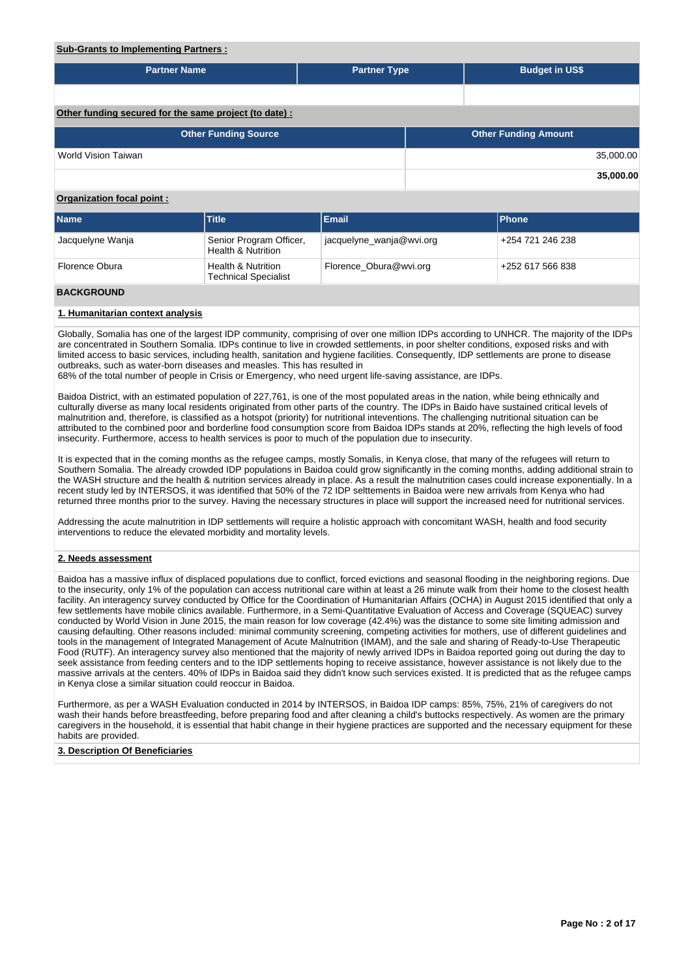# **Sub-Grants to Implementing Partners :**

| <b>Partner Name</b>                                   | <b>Partner Type</b> |  | <b>Budget in US\$</b>       |           |  |  |  |  |
|-------------------------------------------------------|---------------------|--|-----------------------------|-----------|--|--|--|--|
|                                                       |                     |  |                             |           |  |  |  |  |
| Other funding secured for the same project (to date): |                     |  |                             |           |  |  |  |  |
| <b>Other Funding Source</b>                           |                     |  | <b>Other Funding Amount</b> |           |  |  |  |  |
| World Vision Taiwan                                   |                     |  |                             | 35,000.00 |  |  |  |  |
|                                                       |                     |  |                             | 35,000.00 |  |  |  |  |

# **Organization focal point :**

| <b>Name</b>      | <b>Title</b>                                                 | <b>Email</b>             | <b>IPhone</b>     |
|------------------|--------------------------------------------------------------|--------------------------|-------------------|
| Jacquelyne Wanja | Senior Program Officer,<br><b>Health &amp; Nutrition</b>     | jacquelyne_wanja@wvi.org | 1+254 721 246 238 |
| Florence Obura   | <b>Health &amp; Nutrition</b><br><b>Technical Specialist</b> | Florence Obura@wvi.org   | 4252 617 566 838  |

# **BACKGROUND**

#### **1. Humanitarian context analysis**

Globally, Somalia has one of the largest IDP community, comprising of over one million IDPs according to UNHCR. The majority of the IDPs are concentrated in Southern Somalia. IDPs continue to live in crowded settlements, in poor shelter conditions, exposed risks and with limited access to basic services, including health, sanitation and hygiene facilities. Consequently, IDP settlements are prone to disease outbreaks, such as water-born diseases and measles. This has resulted in

68% of the total number of people in Crisis or Emergency, who need urgent life-saving assistance, are IDPs.

Baidoa District, with an estimated population of 227,761, is one of the most populated areas in the nation, while being ethnically and culturally diverse as many local residents originated from other parts of the country. The IDPs in Baido have sustained critical levels of malnutrition and, therefore, is classified as a hotspot (priority) for nutritional inteventions. The challenging nutritional situation can be attributed to the combined poor and borderline food consumption score from Baidoa IDPs stands at 20%, reflecting the high levels of food insecurity. Furthermore, access to health services is poor to much of the population due to insecurity.

It is expected that in the coming months as the refugee camps, mostly Somalis, in Kenya close, that many of the refugees will return to Southern Somalia. The already crowded IDP populations in Baidoa could grow significantly in the coming months, adding additional strain to the WASH structure and the health & nutrition services already in place. As a result the malnutrition cases could increase exponentially. In a recent study led by INTERSOS, it was identified that 50% of the 72 IDP selttements in Baidoa were new arrivals from Kenya who had returned three months prior to the survey. Having the necessary structures in place will support the increased need for nutritional services.

Addressing the acute malnutrition in IDP settlements will require a holistic approach with concomitant WASH, health and food security interventions to reduce the elevated morbidity and mortality levels.

# **2. Needs assessment**

Baidoa has a massive influx of displaced populations due to conflict, forced evictions and seasonal flooding in the neighboring regions. Due to the insecurity, only 1% of the population can access nutritional care within at least a 26 minute walk from their home to the closest health facility. An interagency survey conducted by Office for the Coordination of Humanitarian Affairs (OCHA) in August 2015 identified that only a few settlements have mobile clinics available. Furthermore, in a Semi-Quantitative Evaluation of Access and Coverage (SQUEAC) survey conducted by World Vision in June 2015, the main reason for low coverage (42.4%) was the distance to some site limiting admission and causing defaulting. Other reasons included: minimal community screening, competing activities for mothers, use of different guidelines and tools in the management of Integrated Management of Acute Malnutrition (IMAM), and the sale and sharing of Ready-to-Use Therapeutic Food (RUTF). An interagency survey also mentioned that the majority of newly arrived IDPs in Baidoa reported going out during the day to seek assistance from feeding centers and to the IDP settlements hoping to receive assistance, however assistance is not likely due to the massive arrivals at the centers. 40% of IDPs in Baidoa said they didn't know such services existed. It is predicted that as the refugee camps in Kenya close a similar situation could reoccur in Baidoa.

Furthermore, as per a WASH Evaluation conducted in 2014 by INTERSOS, in Baidoa IDP camps: 85%, 75%, 21% of caregivers do not wash their hands before breastfeeding, before preparing food and after cleaning a child's buttocks respectively. As women are the primary caregivers in the household, it is essential that habit change in their hygiene practices are supported and the necessary equipment for these habits are provided.

## **3. Description Of Beneficiaries**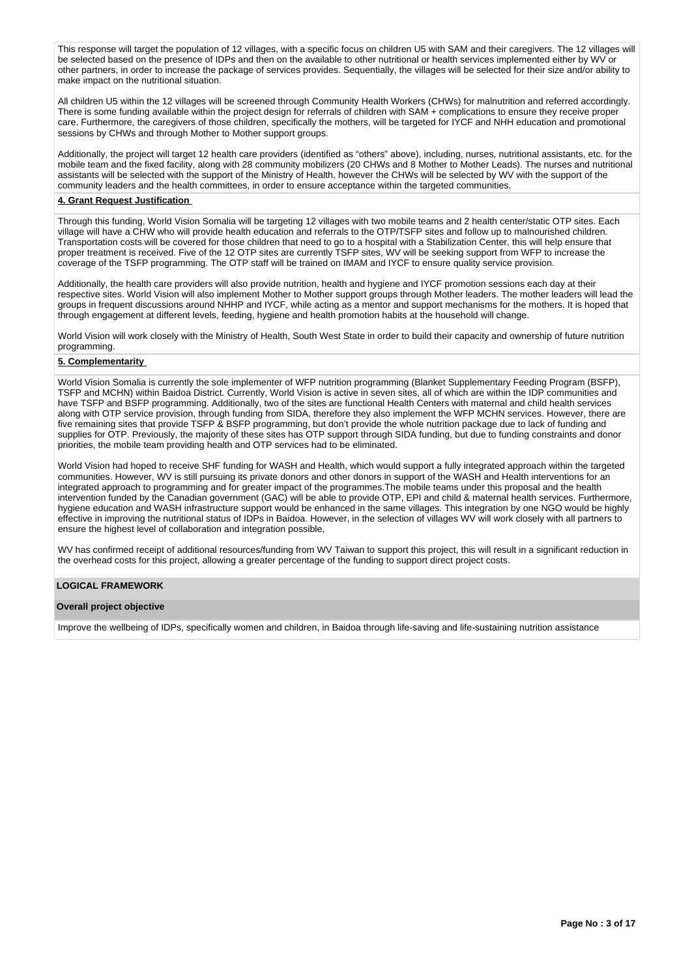This response will target the population of 12 villages, with a specific focus on children U5 with SAM and their caregivers. The 12 villages will be selected based on the presence of IDPs and then on the available to other nutritional or health services implemented either by WV or other partners, in order to increase the package of services provides. Sequentially, the villages will be selected for their size and/or ability to make impact on the nutritional situation.

All children U5 within the 12 villages will be screened through Community Health Workers (CHWs) for malnutrition and referred accordingly. There is some funding available within the project design for referrals of children with SAM + complications to ensure they receive proper care. Furthermore, the caregivers of those children, specifically the mothers, will be targeted for IYCF and NHH education and promotional sessions by CHWs and through Mother to Mother support groups.

Additionally, the project will target 12 health care providers (identified as "others" above), including, nurses, nutritional assistants, etc. for the mobile team and the fixed facility, along with 28 community mobilizers (20 CHWs and 8 Mother to Mother Leads). The nurses and nutritional assistants will be selected with the support of the Ministry of Health, however the CHWs will be selected by WV with the support of the community leaders and the health committees, in order to ensure acceptance within the targeted communities.

#### **4. Grant Request Justification**

Through this funding, World Vision Somalia will be targeting 12 villages with two mobile teams and 2 health center/static OTP sites. Each village will have a CHW who will provide health education and referrals to the OTP/TSFP sites and follow up to malnourished children. Transportation costs will be covered for those children that need to go to a hospital with a Stabilization Center, this will help ensure that proper treatment is received. Five of the 12 OTP sites are currently TSFP sites, WV will be seeking support from WFP to increase the coverage of the TSFP programming. The OTP staff will be trained on IMAM and IYCF to ensure quality service provision.

Additionally, the health care providers will also provide nutrition, health and hygiene and IYCF promotion sessions each day at their respective sites. World Vision will also implement Mother to Mother support groups through Mother leaders. The mother leaders will lead the groups in frequent discussions around NHHP and IYCF, while acting as a mentor and support mechanisms for the mothers. It is hoped that through engagement at different levels, feeding, hygiene and health promotion habits at the household will change.

World Vision will work closely with the Ministry of Health, South West State in order to build their capacity and ownership of future nutrition programming.

# **5. Complementarity**

World Vision Somalia is currently the sole implementer of WFP nutrition programming (Blanket Supplementary Feeding Program (BSFP), TSFP and MCHN) within Baidoa District. Currently, World Vision is active in seven sites, all of which are within the IDP communities and have TSFP and BSFP programming. Additionally, two of the sites are functional Health Centers with maternal and child health services along with OTP service provision, through funding from SIDA, therefore they also implement the WFP MCHN services. However, there are five remaining sites that provide TSFP & BSFP programming, but don't provide the whole nutrition package due to lack of funding and supplies for OTP. Previously, the majority of these sites has OTP support through SIDA funding, but due to funding constraints and donor priorities, the mobile team providing health and OTP services had to be eliminated.

World Vision had hoped to receive SHF funding for WASH and Health, which would support a fully integrated approach within the targeted communities. However, WV is still pursuing its private donors and other donors in support of the WASH and Health interventions for an integrated approach to programming and for greater impact of the programmes.The mobile teams under this proposal and the health intervention funded by the Canadian government (GAC) will be able to provide OTP, EPI and child & maternal health services. Furthermore, hygiene education and WASH infrastructure support would be enhanced in the same villages. This integration by one NGO would be highly effective in improving the nutritional status of IDPs in Baidoa. However, in the selection of villages WV will work closely with all partners to ensure the highest level of collaboration and integration possible,

WV has confirmed receipt of additional resources/funding from WV Taiwan to support this project, this will result in a significant reduction in the overhead costs for this project, allowing a greater percentage of the funding to support direct project costs.

# **LOGICAL FRAMEWORK**

# **Overall project objective**

Improve the wellbeing of IDPs, specifically women and children, in Baidoa through life-saving and life-sustaining nutrition assistance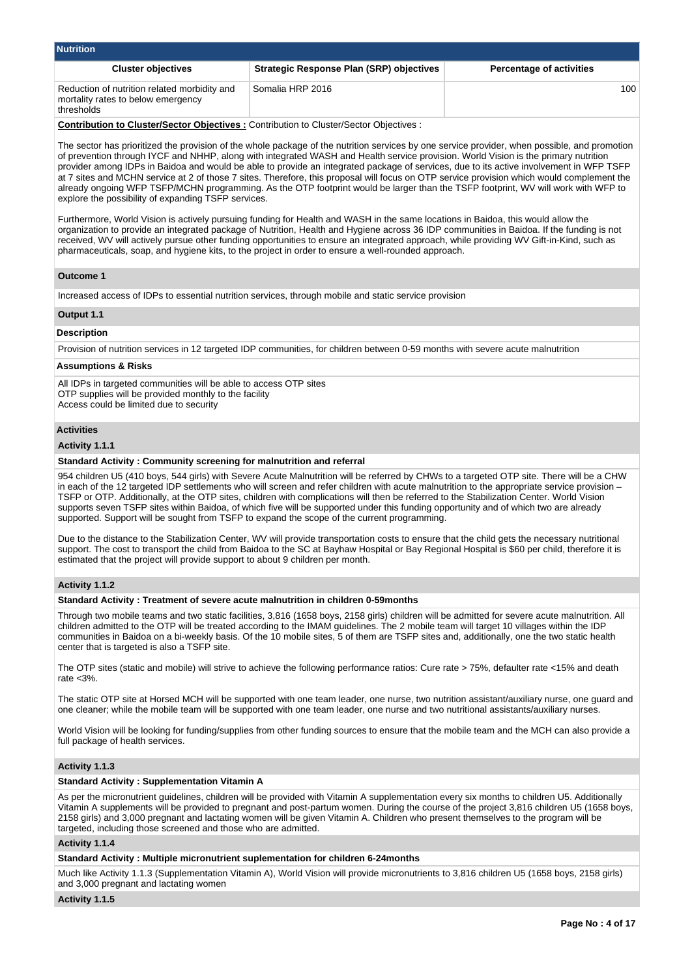| <b>Nutrition</b>                                                                                 |                                                 |                                 |  |  |  |  |  |  |
|--------------------------------------------------------------------------------------------------|-------------------------------------------------|---------------------------------|--|--|--|--|--|--|
| <b>Cluster objectives</b>                                                                        | <b>Strategic Response Plan (SRP) objectives</b> | <b>Percentage of activities</b> |  |  |  |  |  |  |
| Reduction of nutrition related morbidity and<br>mortality rates to below emergency<br>thresholds | Somalia HRP 2016                                | 100                             |  |  |  |  |  |  |

**Contribution to Cluster/Sector Objectives :** Contribution to Cluster/Sector Objectives :

The sector has prioritized the provision of the whole package of the nutrition services by one service provider, when possible, and promotion of prevention through IYCF and NHHP, along with integrated WASH and Health service provision. World Vision is the primary nutrition provider among IDPs in Baidoa and would be able to provide an integrated package of services, due to its active involvement in WFP TSFP at 7 sites and MCHN service at 2 of those 7 sites. Therefore, this proposal will focus on OTP service provision which would complement the already ongoing WFP TSFP/MCHN programming. As the OTP footprint would be larger than the TSFP footprint, WV will work with WFP to explore the possibility of expanding TSFP services.

Furthermore, World Vision is actively pursuing funding for Health and WASH in the same locations in Baidoa, this would allow the organization to provide an integrated package of Nutrition, Health and Hygiene across 36 IDP communities in Baidoa. If the funding is not received, WV will actively pursue other funding opportunities to ensure an integrated approach, while providing WV Gift-in-Kind, such as pharmaceuticals, soap, and hygiene kits, to the project in order to ensure a well-rounded approach.

# **Outcome 1**

Increased access of IDPs to essential nutrition services, through mobile and static service provision

# **Output 1.1**

#### **Description**

Provision of nutrition services in 12 targeted IDP communities, for children between 0-59 months with severe acute malnutrition

# **Assumptions & Risks**

All IDPs in targeted communities will be able to access OTP sites OTP supplies will be provided monthly to the facility Access could be limited due to security

# **Activities**

#### **Activity 1.1.1**

## **Standard Activity : Community screening for malnutrition and referral**

954 children U5 (410 boys, 544 girls) with Severe Acute Malnutrition will be referred by CHWs to a targeted OTP site. There will be a CHW in each of the 12 targeted IDP settlements who will screen and refer children with acute malnutrition to the appropriate service provision – TSFP or OTP. Additionally, at the OTP sites, children with complications will then be referred to the Stabilization Center. World Vision supports seven TSFP sites within Baidoa, of which five will be supported under this funding opportunity and of which two are already supported. Support will be sought from TSFP to expand the scope of the current programming.

Due to the distance to the Stabilization Center, WV will provide transportation costs to ensure that the child gets the necessary nutritional support. The cost to transport the child from Baidoa to the SC at Bayhaw Hospital or Bay Regional Hospital is \$60 per child, therefore it is estimated that the project will provide support to about 9 children per month.

# **Activity 1.1.2**

#### **Standard Activity : Treatment of severe acute malnutrition in children 0-59months**

Through two mobile teams and two static facilities, 3,816 (1658 boys, 2158 girls) children will be admitted for severe acute malnutrition. All children admitted to the OTP will be treated according to the IMAM guidelines. The 2 mobile team will target 10 villages within the IDP communities in Baidoa on a bi-weekly basis. Of the 10 mobile sites, 5 of them are TSFP sites and, additionally, one the two static health center that is targeted is also a TSFP site.

The OTP sites (static and mobile) will strive to achieve the following performance ratios: Cure rate > 75%, defaulter rate <15% and death rate <3%.

The static OTP site at Horsed MCH will be supported with one team leader, one nurse, two nutrition assistant/auxiliary nurse, one guard and one cleaner; while the mobile team will be supported with one team leader, one nurse and two nutritional assistants/auxiliary nurses.

World Vision will be looking for funding/supplies from other funding sources to ensure that the mobile team and the MCH can also provide a full package of health services.

# **Activity 1.1.3**

#### **Standard Activity : Supplementation Vitamin A**

As per the micronutrient guidelines, children will be provided with Vitamin A supplementation every six months to children U5. Additionally Vitamin A supplements will be provided to pregnant and post-partum women. During the course of the project 3,816 children U5 (1658 boys, 2158 girls) and 3,000 pregnant and lactating women will be given Vitamin A. Children who present themselves to the program will be targeted, including those screened and those who are admitted.

## **Activity 1.1.4**

# **Standard Activity : Multiple micronutrient suplementation for children 6-24months**

Much like Activity 1.1.3 (Supplementation Vitamin A), World Vision will provide micronutrients to 3,816 children U5 (1658 boys, 2158 girls) and 3,000 pregnant and lactating women

#### **Activity 1.1.5**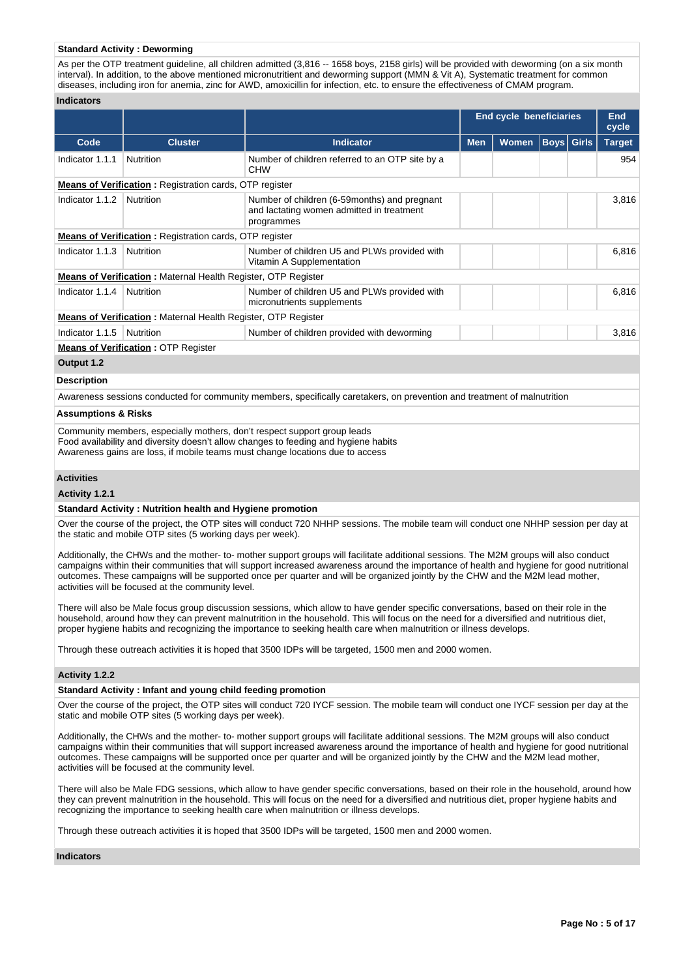# **Standard Activity : Deworming**

As per the OTP treatment guideline, all children admitted (3,816 -- 1658 boys, 2158 girls) will be provided with deworming (on a six month interval). In addition, to the above mentioned micronutritient and deworming support (MMN & Vit A), Systematic treatment for common diseases, including iron for anemia, zinc for AWD, amoxicillin for infection, etc. to ensure the effectiveness of CMAM program.

#### **Indicators**

|                 |                                                                      |                                                                                                         |            | <b>End cycle beneficiaries</b> |                   |  | End<br>cycle  |  |  |
|-----------------|----------------------------------------------------------------------|---------------------------------------------------------------------------------------------------------|------------|--------------------------------|-------------------|--|---------------|--|--|
| Code            | <b>Cluster</b>                                                       | <b>Indicator</b>                                                                                        | <b>Men</b> | <b>Women</b>                   | <b>Boys Girls</b> |  | <b>Target</b> |  |  |
| Indicator 1.1.1 | Nutrition                                                            | Number of children referred to an OTP site by a<br><b>CHW</b>                                           |            |                                |                   |  | 954           |  |  |
|                 | <b>Means of Verification:</b> Registration cards, OTP register       |                                                                                                         |            |                                |                   |  |               |  |  |
| Indicator 1.1.2 | Nutrition                                                            | Number of children (6-59months) and pregnant<br>and lactating women admitted in treatment<br>programmes |            |                                |                   |  | 3,816         |  |  |
|                 | <b>Means of Verification: Registration cards, OTP register</b>       |                                                                                                         |            |                                |                   |  |               |  |  |
| Indicator 1.1.3 | Nutrition                                                            | Number of children U5 and PLWs provided with<br>Vitamin A Supplementation                               |            |                                |                   |  | 6,816         |  |  |
|                 | <b>Means of Verification:</b> Maternal Health Register, OTP Register |                                                                                                         |            |                                |                   |  |               |  |  |
| Indicator 1.1.4 | Nutrition                                                            | Number of children U5 and PLWs provided with<br>micronutrients supplements                              |            |                                |                   |  | 6,816         |  |  |
|                 | <b>Means of Verification:</b> Maternal Health Register, OTP Register |                                                                                                         |            |                                |                   |  |               |  |  |
| Indicator 1.1.5 | <b>Nutrition</b>                                                     | Number of children provided with deworming                                                              |            |                                |                   |  | 3,816         |  |  |
|                 | <b>Means of Verification: OTP Register</b>                           |                                                                                                         |            |                                |                   |  |               |  |  |

## **Output 1.2**

#### **Description**

Awareness sessions conducted for community members, specifically caretakers, on prevention and treatment of malnutrition

#### **Assumptions & Risks**

Community members, especially mothers, don't respect support group leads Food availability and diversity doesn't allow changes to feeding and hygiene habits Awareness gains are loss, if mobile teams must change locations due to access

#### **Activities**

#### **Activity 1.2.1**

#### **Standard Activity : Nutrition health and Hygiene promotion**

Over the course of the project, the OTP sites will conduct 720 NHHP sessions. The mobile team will conduct one NHHP session per day at the static and mobile OTP sites (5 working days per week).

Additionally, the CHWs and the mother- to- mother support groups will facilitate additional sessions. The M2M groups will also conduct campaigns within their communities that will support increased awareness around the importance of health and hygiene for good nutritional outcomes. These campaigns will be supported once per quarter and will be organized jointly by the CHW and the M2M lead mother, activities will be focused at the community level.

There will also be Male focus group discussion sessions, which allow to have gender specific conversations, based on their role in the household, around how they can prevent malnutrition in the household. This will focus on the need for a diversified and nutritious diet, proper hygiene habits and recognizing the importance to seeking health care when malnutrition or illness develops.

Through these outreach activities it is hoped that 3500 IDPs will be targeted, 1500 men and 2000 women.

# **Activity 1.2.2**

## **Standard Activity : Infant and young child feeding promotion**

Over the course of the project, the OTP sites will conduct 720 IYCF session. The mobile team will conduct one IYCF session per day at the static and mobile OTP sites (5 working days per week).

Additionally, the CHWs and the mother- to- mother support groups will facilitate additional sessions. The M2M groups will also conduct campaigns within their communities that will support increased awareness around the importance of health and hygiene for good nutritional outcomes. These campaigns will be supported once per quarter and will be organized jointly by the CHW and the M2M lead mother, activities will be focused at the community level.

There will also be Male FDG sessions, which allow to have gender specific conversations, based on their role in the household, around how they can prevent malnutrition in the household. This will focus on the need for a diversified and nutritious diet, proper hygiene habits and recognizing the importance to seeking health care when malnutrition or illness develops.

Through these outreach activities it is hoped that 3500 IDPs will be targeted, 1500 men and 2000 women.

# **Indicators**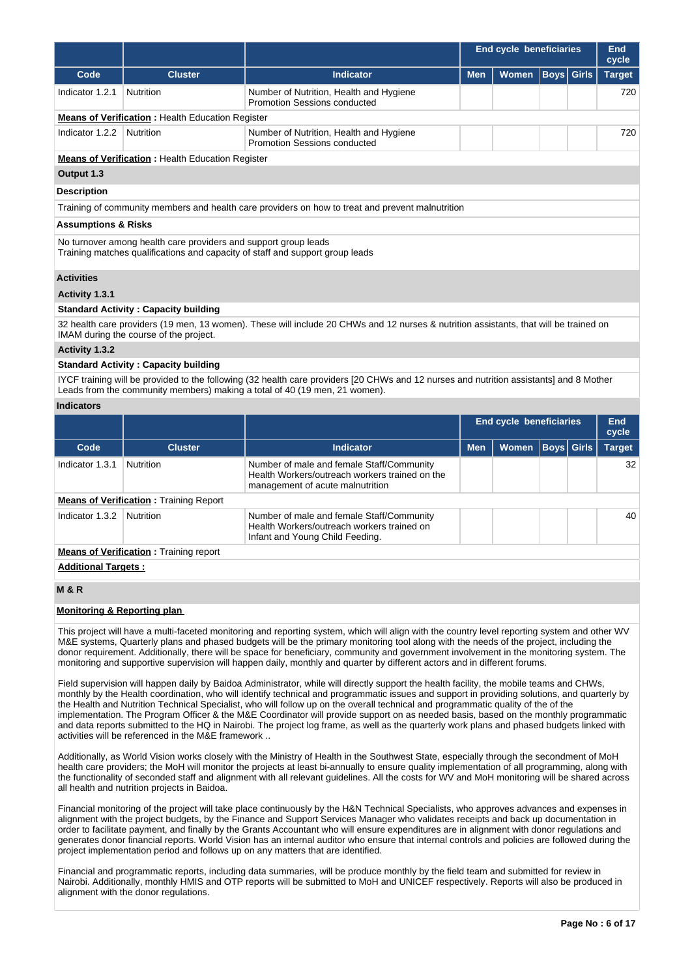|                                |                                                                 |                                                                                                                                       | <b>End cycle beneficiaries</b> |       |                   | End<br>cycle |               |
|--------------------------------|-----------------------------------------------------------------|---------------------------------------------------------------------------------------------------------------------------------------|--------------------------------|-------|-------------------|--------------|---------------|
| Code                           | <b>Cluster</b>                                                  | <b>Indicator</b>                                                                                                                      | <b>Men</b>                     | Women | <b>Boys</b> Girls |              | <b>Target</b> |
| Indicator 1.2.1                | Nutrition                                                       | Number of Nutrition, Health and Hygiene<br>Promotion Sessions conducted                                                               |                                |       |                   |              | 720           |
|                                | <b>Means of Verification:</b> Health Education Register         |                                                                                                                                       |                                |       |                   |              |               |
| Indicator 1.2.2                | <b>Nutrition</b>                                                | Number of Nutrition, Health and Hygiene<br>Promotion Sessions conducted                                                               |                                |       |                   |              | 720           |
|                                | <b>Means of Verification:</b> Health Education Register         |                                                                                                                                       |                                |       |                   |              |               |
| Output 1.3                     |                                                                 |                                                                                                                                       |                                |       |                   |              |               |
| <b>Description</b>             |                                                                 |                                                                                                                                       |                                |       |                   |              |               |
|                                |                                                                 | Training of community members and health care providers on how to treat and prevent malnutrition                                      |                                |       |                   |              |               |
| <b>Assumptions &amp; Risks</b> |                                                                 |                                                                                                                                       |                                |       |                   |              |               |
|                                | No turnover among health care providers and support group leads | Training matches qualifications and capacity of staff and support group leads                                                         |                                |       |                   |              |               |
| <b>Activities</b>              |                                                                 |                                                                                                                                       |                                |       |                   |              |               |
| Activity 1.3.1                 |                                                                 |                                                                                                                                       |                                |       |                   |              |               |
|                                | <b>Standard Activity: Capacity building</b>                     |                                                                                                                                       |                                |       |                   |              |               |
|                                | IMAM during the course of the project.                          | 32 health care providers (19 men, 13 women). These will include 20 CHWs and 12 nurses & nutrition assistants, that will be trained on |                                |       |                   |              |               |
| $A$ otivity 1 2 2              |                                                                 |                                                                                                                                       |                                |       |                   |              |               |

#### **Activity 1.3.2**

# **Standard Activity : Capacity building**

IYCF training will be provided to the following (32 health care providers [20 CHWs and 12 nurses and nutrition assistants] and 8 Mother Leads from the community members) making a total of 40 (19 men, 21 women).

# **Indicators**

|                                               |                                               |                                                                                                                                 |            | <b>End cycle beneficiaries</b> |  |                   | End<br>cycle    |
|-----------------------------------------------|-----------------------------------------------|---------------------------------------------------------------------------------------------------------------------------------|------------|--------------------------------|--|-------------------|-----------------|
| Code                                          | <b>Cluster</b>                                | <b>Indicator</b>                                                                                                                | <b>Men</b> | <b>Women</b>                   |  | <b>Boys Girls</b> | <b>Target</b>   |
| Indicator 1.3.1                               | <b>Nutrition</b>                              | Number of male and female Staff/Community<br>Health Workers/outreach workers trained on the<br>management of acute malnutrition |            |                                |  |                   | 32 <sup>2</sup> |
|                                               | <b>Means of Verification:</b> Training Report |                                                                                                                                 |            |                                |  |                   |                 |
| Indicator 1.3.2                               | Nutrition                                     | Number of male and female Staff/Community<br>Health Workers/outreach workers trained on<br>Infant and Young Child Feeding.      |            |                                |  |                   | 40              |
| <b>Means of Verification:</b> Training report |                                               |                                                                                                                                 |            |                                |  |                   |                 |

# **Additional Targets :**

# **M & R**

# **Monitoring & Reporting plan**

This project will have a multi-faceted monitoring and reporting system, which will align with the country level reporting system and other WV M&E systems, Quarterly plans and phased budgets will be the primary monitoring tool along with the needs of the project, including the donor requirement. Additionally, there will be space for beneficiary, community and government involvement in the monitoring system. The monitoring and supportive supervision will happen daily, monthly and quarter by different actors and in different forums.

Field supervision will happen daily by Baidoa Administrator, while will directly support the health facility, the mobile teams and CHWs, monthly by the Health coordination, who will identify technical and programmatic issues and support in providing solutions, and quarterly by the Health and Nutrition Technical Specialist, who will follow up on the overall technical and programmatic quality of the of the implementation. The Program Officer & the M&E Coordinator will provide support on as needed basis, based on the monthly programmatic and data reports submitted to the HQ in Nairobi. The project log frame, as well as the quarterly work plans and phased budgets linked with activities will be referenced in the M&E framework ..

Additionally, as World Vision works closely with the Ministry of Health in the Southwest State, especially through the secondment of MoH health care providers; the MoH will monitor the projects at least bi-annually to ensure quality implementation of all programming, along with the functionality of seconded staff and alignment with all relevant guidelines. All the costs for WV and MoH monitoring will be shared across all health and nutrition projects in Baidoa.

Financial monitoring of the project will take place continuously by the H&N Technical Specialists, who approves advances and expenses in alignment with the project budgets, by the Finance and Support Services Manager who validates receipts and back up documentation in order to facilitate payment, and finally by the Grants Accountant who will ensure expenditures are in alignment with donor regulations and generates donor financial reports. World Vision has an internal auditor who ensure that internal controls and policies are followed during the project implementation period and follows up on any matters that are identified.

Financial and programmatic reports, including data summaries, will be produce monthly by the field team and submitted for review in Nairobi. Additionally, monthly HMIS and OTP reports will be submitted to MoH and UNICEF respectively. Reports will also be produced in alignment with the donor regulations.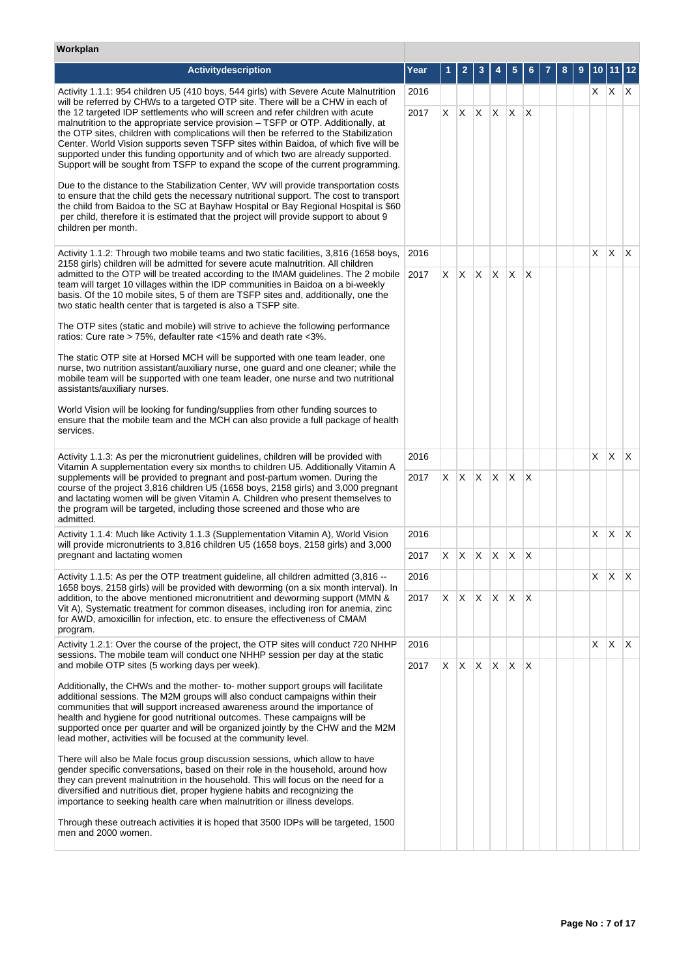# **Workplan**

| Activitydescription                                                                                                                                                                                                                                                                                                                                                                                                                                                                                                        | Year |    | $\mathbf{2}$        | 3            |              |              |          |  |            |     | 12                      |
|----------------------------------------------------------------------------------------------------------------------------------------------------------------------------------------------------------------------------------------------------------------------------------------------------------------------------------------------------------------------------------------------------------------------------------------------------------------------------------------------------------------------------|------|----|---------------------|--------------|--------------|--------------|----------|--|------------|-----|-------------------------|
| Activity 1.1.1: 954 children U5 (410 boys, 544 girls) with Severe Acute Malnutrition<br>will be referred by CHWs to a targeted OTP site. There will be a CHW in each of                                                                                                                                                                                                                                                                                                                                                    | 2016 |    |                     |              |              |              |          |  | $x \mid x$ |     | $\mathsf{X}$            |
| the 12 targeted IDP settlements who will screen and refer children with acute<br>malnutrition to the appropriate service provision – TSFP or OTP. Additionally, at<br>the OTP sites, children with complications will then be referred to the Stabilization<br>Center. World Vision supports seven TSFP sites within Baidoa, of which five will be<br>supported under this funding opportunity and of which two are already supported.<br>Support will be sought from TSFP to expand the scope of the current programming. | 2017 | X  | ΙX.                 | $\mathsf{X}$ | $\mathsf{X}$ | X            | $\times$ |  |            |     |                         |
| Due to the distance to the Stabilization Center, WV will provide transportation costs<br>to ensure that the child gets the necessary nutritional support. The cost to transport<br>the child from Baidoa to the SC at Bayhaw Hospital or Bay Regional Hospital is \$60<br>per child, therefore it is estimated that the project will provide support to about 9<br>children per month.                                                                                                                                     |      |    |                     |              |              |              |          |  |            |     |                         |
| Activity 1.1.2: Through two mobile teams and two static facilities, 3,816 (1658 boys,<br>2158 girls) children will be admitted for severe acute malnutrition. All children                                                                                                                                                                                                                                                                                                                                                 | 2016 |    |                     |              |              |              |          |  | X.         | X.  | $\mathsf{X}$            |
| admitted to the OTP will be treated according to the IMAM guidelines. The 2 mobile<br>team will target 10 villages within the IDP communities in Baidoa on a bi-weekly<br>basis. Of the 10 mobile sites, 5 of them are TSFP sites and, additionally, one the<br>two static health center that is targeted is also a TSFP site.                                                                                                                                                                                             | 2017 | X. | X.                  | $X$ $X$      |              | $\mathsf{X}$ | $\times$ |  |            |     |                         |
| The OTP sites (static and mobile) will strive to achieve the following performance<br>ratios: Cure rate > 75%, defaulter rate <15% and death rate <3%.                                                                                                                                                                                                                                                                                                                                                                     |      |    |                     |              |              |              |          |  |            |     |                         |
| The static OTP site at Horsed MCH will be supported with one team leader, one<br>nurse, two nutrition assistant/auxiliary nurse, one guard and one cleaner; while the<br>mobile team will be supported with one team leader, one nurse and two nutritional<br>assistants/auxiliary nurses.                                                                                                                                                                                                                                 |      |    |                     |              |              |              |          |  |            |     |                         |
| World Vision will be looking for funding/supplies from other funding sources to<br>ensure that the mobile team and the MCH can also provide a full package of health<br>services.                                                                                                                                                                                                                                                                                                                                          |      |    |                     |              |              |              |          |  |            |     |                         |
| Activity 1.1.3: As per the micronutrient guidelines, children will be provided with<br>Vitamin A supplementation every six months to children U5. Additionally Vitamin A                                                                                                                                                                                                                                                                                                                                                   | 2016 |    |                     |              |              |              |          |  | X.         | X.  | $\mathsf{X}$            |
| supplements will be provided to pregnant and post-partum women. During the<br>course of the project 3,816 children U5 (1658 boys, 2158 girls) and 3,000 pregnant<br>and lactating women will be given Vitamin A. Children who present themselves to<br>the program will be targeted, including those screened and those who are<br>admitted.                                                                                                                                                                               | 2017 | X  | X.                  | $\mathsf{X}$ | $\mathsf{X}$ | $\mathsf{X}$ | $\times$ |  |            |     |                         |
| Activity 1.1.4: Much like Activity 1.1.3 (Supplementation Vitamin A), World Vision<br>will provide micronutrients to 3,816 children U5 (1658 boys, 2158 girls) and 3,000                                                                                                                                                                                                                                                                                                                                                   | 2016 |    |                     |              |              |              |          |  | X          | X   | ΙX.                     |
| pregnant and lactating women                                                                                                                                                                                                                                                                                                                                                                                                                                                                                               | 2017 | X. | X.                  | $\mathsf{X}$ | $\mathsf{X}$ | $\mathsf{X}$ | X        |  |            |     |                         |
| Activity 1.1.5: As per the OTP treatment guideline, all children admitted (3,816 --<br>1658 boys, 2158 girls) will be provided with deworming (on a six month interval). In                                                                                                                                                                                                                                                                                                                                                | 2016 |    |                     |              |              |              |          |  | $X$   $X$  |     | $\mathsf{I} \mathsf{X}$ |
| addition, to the above mentioned micronutritient and deworming support (MMN &<br>Vit A), Systematic treatment for common diseases, including iron for anemia, zinc<br>for AWD, amoxicillin for infection, etc. to ensure the effectiveness of CMAM<br>program.                                                                                                                                                                                                                                                             | 2017 | X. | $X$ $X$ $X$ $X$ $X$ |              |              |              |          |  |            |     |                         |
| Activity 1.2.1: Over the course of the project, the OTP sites will conduct 720 NHHP<br>sessions. The mobile team will conduct one NHHP session per day at the static                                                                                                                                                                                                                                                                                                                                                       | 2016 |    |                     |              |              |              |          |  | X.         | IX. | $\mathsf{X}$            |
| and mobile OTP sites (5 working days per week).                                                                                                                                                                                                                                                                                                                                                                                                                                                                            | 2017 | X  | X.                  | $\mathsf{X}$ | $\mathsf{X}$ | $\mathsf{X}$ | $\times$ |  |            |     |                         |
| Additionally, the CHWs and the mother-to- mother support groups will facilitate<br>additional sessions. The M2M groups will also conduct campaigns within their<br>communities that will support increased awareness around the importance of<br>health and hygiene for good nutritional outcomes. These campaigns will be<br>supported once per quarter and will be organized jointly by the CHW and the M2M<br>lead mother, activities will be focused at the community level.                                           |      |    |                     |              |              |              |          |  |            |     |                         |
| There will also be Male focus group discussion sessions, which allow to have<br>gender specific conversations, based on their role in the household, around how<br>they can prevent malnutrition in the household. This will focus on the need for a<br>diversified and nutritious diet, proper hygiene habits and recognizing the<br>importance to seeking health care when malnutrition or illness develops.                                                                                                             |      |    |                     |              |              |              |          |  |            |     |                         |
| Through these outreach activities it is hoped that 3500 IDPs will be targeted, 1500<br>men and 2000 women.                                                                                                                                                                                                                                                                                                                                                                                                                 |      |    |                     |              |              |              |          |  |            |     |                         |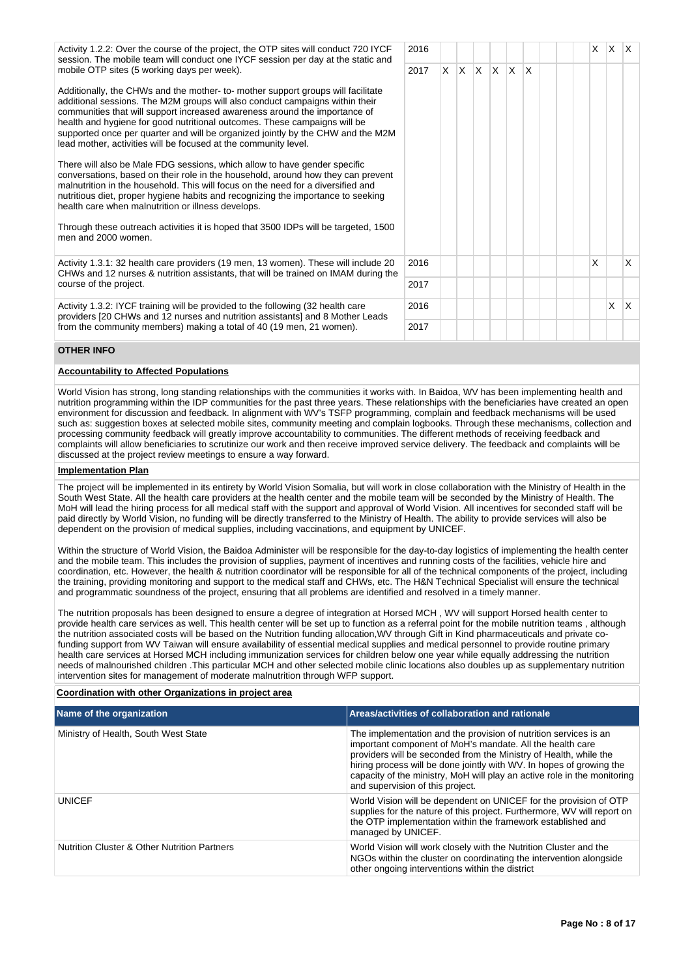Activity 1.2.2: Over the course of the project, the OTP sites will conduct 720 IYCF session. The mobile team will conduct one IYCF session per day at the static and mobile OTP sites (5 working days per week).

Additionally, the CHWs and the mother- to- mother support groups will facilitate additional sessions. The M2M groups will also conduct campaigns within their communities that will support increased awareness around the importance of health and hygiene for good nutritional outcomes. These campaigns will be supported once per quarter and will be organized jointly by the CHW and the M2M lead mother, activities will be focused at the community level.

There will also be Male FDG sessions, which allow to have gender specific conversations, based on their role in the household, around how they can prevent malnutrition in the household. This will focus on the need for a diversified and nutritious diet, proper hygiene habits and recognizing the importance to seeking health care when malnutrition or illness develops.

Through these outreach activities it is hoped that 3500 IDPs will be targeted, 1500 men and 2000 women.

Activity 1.3.1: 32 health care providers (19 men, 13 women). These will include 20 CHWs and 12 nurses & nutrition assistants, that will be trained on IMAM during the course of the project.

Activity 1.3.2: IYCF training will be provided to the following (32 health care providers [20 CHWs and 12 nurses and nutrition assistants] and 8 Mother Leads from the community members) making a total of 40 (19 men, 21 women).

| 2016 |   |   |   |   |                |             |  | $\mathsf{X}^-$ | $\mathsf{X}$ | X            |
|------|---|---|---|---|----------------|-------------|--|----------------|--------------|--------------|
| 2017 | X | Χ | Χ | Χ | $\mathsf{X}^-$ | $\mathsf X$ |  |                |              |              |
| 2016 |   |   |   |   |                |             |  | X              |              | X            |
| 2017 |   |   |   |   |                |             |  |                |              |              |
| 2016 |   |   |   |   |                |             |  |                | $\mathsf X$  | $\mathsf{X}$ |
| 2017 |   |   |   |   |                |             |  |                |              |              |

# **OTHER INFO**

# **Accountability to Affected Populations**

World Vision has strong, long standing relationships with the communities it works with. In Baidoa, WV has been implementing health and nutrition programming within the IDP communities for the past three years. These relationships with the beneficiaries have created an open environment for discussion and feedback. In alignment with WV's TSFP programming, complain and feedback mechanisms will be used such as: suggestion boxes at selected mobile sites, community meeting and complain logbooks. Through these mechanisms, collection and processing community feedback will greatly improve accountability to communities. The different methods of receiving feedback and complaints will allow beneficiaries to scrutinize our work and then receive improved service delivery. The feedback and complaints will be discussed at the project review meetings to ensure a way forward.

## **Implementation Plan**

The project will be implemented in its entirety by World Vision Somalia, but will work in close collaboration with the Ministry of Health in the South West State. All the health care providers at the health center and the mobile team will be seconded by the Ministry of Health. The MoH will lead the hiring process for all medical staff with the support and approval of World Vision. All incentives for seconded staff will be paid directly by World Vision, no funding will be directly transferred to the Ministry of Health. The ability to provide services will also be dependent on the provision of medical supplies, including vaccinations, and equipment by UNICEF.

Within the structure of World Vision, the Baidoa Administer will be responsible for the day-to-day logistics of implementing the health center and the mobile team. This includes the provision of supplies, payment of incentives and running costs of the facilities, vehicle hire and coordination, etc. However, the health & nutrition coordinator will be responsible for all of the technical components of the project, including the training, providing monitoring and support to the medical staff and CHWs, etc. The H&N Technical Specialist will ensure the technical and programmatic soundness of the project, ensuring that all problems are identified and resolved in a timely manner.

The nutrition proposals has been designed to ensure a degree of integration at Horsed MCH , WV will support Horsed health center to provide health care services as well. This health center will be set up to function as a referral point for the mobile nutrition teams , although the nutrition associated costs will be based on the Nutrition funding allocation,WV through Gift in Kind pharmaceuticals and private cofunding support from WV Taiwan will ensure availability of essential medical supplies and medical personnel to provide routine primary health care services at Horsed MCH including immunization services for children below one year while equally addressing the nutrition needs of malnourished children .This particular MCH and other selected mobile clinic locations also doubles up as supplementary nutrition intervention sites for management of moderate malnutrition through WFP support.

# **Coordination with other Organizations in project area**

| Name of the organization                                | Areas/activities of collaboration and rationale                                                                                                                                                                                                                                                                                                                                            |
|---------------------------------------------------------|--------------------------------------------------------------------------------------------------------------------------------------------------------------------------------------------------------------------------------------------------------------------------------------------------------------------------------------------------------------------------------------------|
| Ministry of Health, South West State                    | The implementation and the provision of nutrition services is an<br>important component of MoH's mandate. All the health care<br>providers will be seconded from the Ministry of Health, while the<br>hiring process will be done jointly with WV. In hopes of growing the<br>capacity of the ministry, MoH will play an active role in the monitoring<br>and supervision of this project. |
| <b>UNICEF</b>                                           | World Vision will be dependent on UNICEF for the provision of OTP<br>supplies for the nature of this project. Furthermore, WV will report on<br>the OTP implementation within the framework established and<br>managed by UNICEF.                                                                                                                                                          |
| <b>Nutrition Cluster &amp; Other Nutrition Partners</b> | World Vision will work closely with the Nutrition Cluster and the<br>NGOs within the cluster on coordinating the intervention alongside<br>other ongoing interventions within the district                                                                                                                                                                                                 |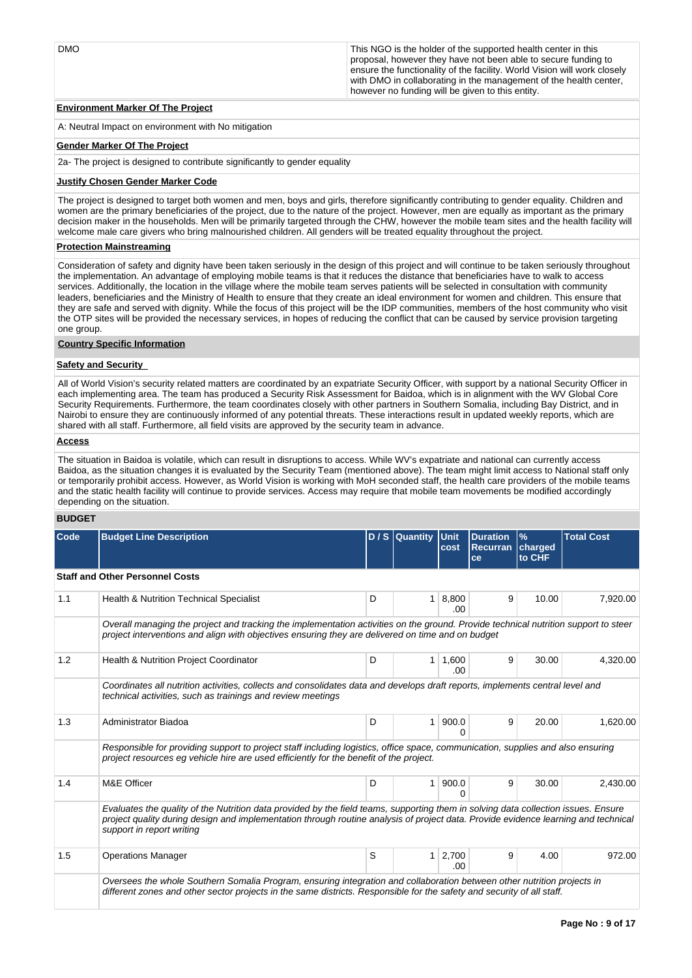DMO DMO This NGO is the holder of the supported health center in this proposal, however they have not been able to secure funding to ensure the functionality of the facility. World Vision will work closely with DMO in collaborating in the management of the health center, however no funding will be given to this entity.

# **Environment Marker Of The Project**

A: Neutral Impact on environment with No mitigation

# **Gender Marker Of The Project**

2a- The project is designed to contribute significantly to gender equality

# **Justify Chosen Gender Marker Code**

The project is designed to target both women and men, boys and girls, therefore significantly contributing to gender equality. Children and women are the primary beneficiaries of the project, due to the nature of the project. However, men are equally as important as the primary decision maker in the households. Men will be primarily targeted through the CHW, however the mobile team sites and the health facility will welcome male care givers who bring malnourished children. All genders will be treated equality throughout the project.

# **Protection Mainstreaming**

Consideration of safety and dignity have been taken seriously in the design of this project and will continue to be taken seriously throughout the implementation. An advantage of employing mobile teams is that it reduces the distance that beneficiaries have to walk to access services. Additionally, the location in the village where the mobile team serves patients will be selected in consultation with community leaders, beneficiaries and the Ministry of Health to ensure that they create an ideal environment for women and children. This ensure that they are safe and served with dignity. While the focus of this project will be the IDP communities, members of the host community who visit the OTP sites will be provided the necessary services, in hopes of reducing the conflict that can be caused by service provision targeting one group.

# **Country Specific Information**

# **Safety and Security**

All of World Vision's security related matters are coordinated by an expatriate Security Officer, with support by a national Security Officer in each implementing area. The team has produced a Security Risk Assessment for Baidoa, which is in alignment with the WV Global Core Security Requirements. Furthermore, the team coordinates closely with other partners in Southern Somalia, including Bay District, and in Nairobi to ensure they are continuously informed of any potential threats. These interactions result in updated weekly reports, which are shared with all staff. Furthermore, all field visits are approved by the security team in advance.

# **Access**

The situation in Baidoa is volatile, which can result in disruptions to access. While WV's expatriate and national can currently access Baidoa, as the situation changes it is evaluated by the Security Team (mentioned above). The team might limit access to National staff only or temporarily prohibit access. However, as World Vision is working with MoH seconded staff, the health care providers of the mobile teams and the static health facility will continue to provide services. Access may require that mobile team movements be modified accordingly depending on the situation.

# **BUDGET**

| Code | <b>Budget Line Description</b>                                                                                                                                                                                                                                                                        |   | D / S Quantity Unit | cost              | <b>Duration</b><br><b>Recurran</b><br>ce | $\frac{9}{6}$<br>charged<br>to CHF | <b>Total Cost</b> |
|------|-------------------------------------------------------------------------------------------------------------------------------------------------------------------------------------------------------------------------------------------------------------------------------------------------------|---|---------------------|-------------------|------------------------------------------|------------------------------------|-------------------|
|      | <b>Staff and Other Personnel Costs</b>                                                                                                                                                                                                                                                                |   |                     |                   |                                          |                                    |                   |
| 1.1  | <b>Health &amp; Nutrition Technical Specialist</b>                                                                                                                                                                                                                                                    | D | $\mathbf{1}$        | 8,800<br>.00      | 9                                        | 10.00                              | 7,920.00          |
|      | Overall managing the project and tracking the implementation activities on the ground. Provide technical nutrition support to steer<br>project interventions and align with objectives ensuring they are delivered on time and on budget                                                              |   |                     |                   |                                          |                                    |                   |
| 1.2  | <b>Health &amp; Nutrition Project Coordinator</b>                                                                                                                                                                                                                                                     | D | $\mathbf{1}$        | 1,600<br>.00      | 9                                        | 30.00                              | 4,320.00          |
|      | Coordinates all nutrition activities, collects and consolidates data and develops draft reports, implements central level and<br>technical activities, such as trainings and review meetings                                                                                                          |   |                     |                   |                                          |                                    |                   |
| 1.3  | Administrator Biadoa                                                                                                                                                                                                                                                                                  | D | $\mathbf{1}$        | 900.0<br>$\Omega$ | 9                                        | 20.00                              | 1.620.00          |
|      | Responsible for providing support to project staff including logistics, office space, communication, supplies and also ensuring<br>project resources eq vehicle hire are used efficiently for the benefit of the project.                                                                             |   |                     |                   |                                          |                                    |                   |
| 1.4  | M&E Officer                                                                                                                                                                                                                                                                                           | D | 1                   | 900.0<br>∩        | 9                                        | 30.00                              | 2.430.00          |
|      | Evaluates the quality of the Nutrition data provided by the field teams, supporting them in solving data collection issues. Ensure<br>project quality during design and implementation through routine analysis of project data. Provide evidence learning and technical<br>support in report writing |   |                     |                   |                                          |                                    |                   |
| 1.5  | <b>Operations Manager</b>                                                                                                                                                                                                                                                                             | S | 1                   | 2,700<br>.00      | 9                                        | 4.00                               | 972.00            |
|      | Oversees the whole Southern Somalia Program, ensuring integration and collaboration between other nutrition projects in<br>different zones and other sector projects in the same districts. Responsible for the safety and security of all staff.                                                     |   |                     |                   |                                          |                                    |                   |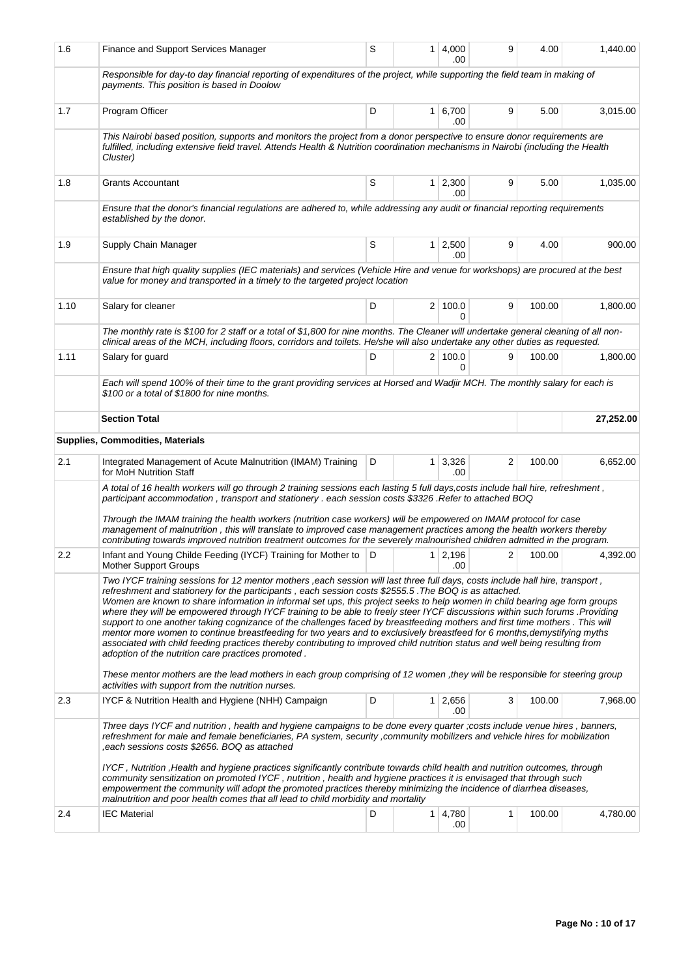| 1.6  | Finance and Support Services Manager                                                                                                                                                                                                                                                                                                                                                                                                                                                                                                                                                                                                                                                                                                                                                                                                                                                                                                                    | S            | 1              | 4,000<br>.00          | 9 | 4.00   | 1,440.00  |
|------|---------------------------------------------------------------------------------------------------------------------------------------------------------------------------------------------------------------------------------------------------------------------------------------------------------------------------------------------------------------------------------------------------------------------------------------------------------------------------------------------------------------------------------------------------------------------------------------------------------------------------------------------------------------------------------------------------------------------------------------------------------------------------------------------------------------------------------------------------------------------------------------------------------------------------------------------------------|--------------|----------------|-----------------------|---|--------|-----------|
|      | Responsible for day-to day financial reporting of expenditures of the project, while supporting the field team in making of<br>payments. This position is based in Doolow                                                                                                                                                                                                                                                                                                                                                                                                                                                                                                                                                                                                                                                                                                                                                                               |              |                |                       |   |        |           |
| 1.7  | Program Officer                                                                                                                                                                                                                                                                                                                                                                                                                                                                                                                                                                                                                                                                                                                                                                                                                                                                                                                                         | D            |                | 1   6,700<br>.00      | 9 | 5.00   | 3,015.00  |
|      | This Nairobi based position, supports and monitors the project from a donor perspective to ensure donor requirements are<br>fulfilled, including extensive field travel. Attends Health & Nutrition coordination mechanisms in Nairobi (including the Health<br>Cluster)                                                                                                                                                                                                                                                                                                                                                                                                                                                                                                                                                                                                                                                                                |              |                |                       |   |        |           |
| 1.8  | <b>Grants Accountant</b>                                                                                                                                                                                                                                                                                                                                                                                                                                                                                                                                                                                                                                                                                                                                                                                                                                                                                                                                | S            | 1              | 2,300<br>.00          | 9 | 5.00   | 1,035.00  |
|      | Ensure that the donor's financial regulations are adhered to, while addressing any audit or financial reporting requirements<br>established by the donor.                                                                                                                                                                                                                                                                                                                                                                                                                                                                                                                                                                                                                                                                                                                                                                                               |              |                |                       |   |        |           |
| 1.9  | Supply Chain Manager                                                                                                                                                                                                                                                                                                                                                                                                                                                                                                                                                                                                                                                                                                                                                                                                                                                                                                                                    | S            | 1 <sup>1</sup> | 2,500<br>.00          | 9 | 4.00   | 900.00    |
|      | Ensure that high quality supplies (IEC materials) and services (Vehicle Hire and venue for workshops) are procured at the best<br>value for money and transported in a timely to the targeted project location                                                                                                                                                                                                                                                                                                                                                                                                                                                                                                                                                                                                                                                                                                                                          |              |                |                       |   |        |           |
| 1.10 | Salary for cleaner                                                                                                                                                                                                                                                                                                                                                                                                                                                                                                                                                                                                                                                                                                                                                                                                                                                                                                                                      | D            |                | 2 100.0<br>$\Omega$   | 9 | 100.00 | 1,800.00  |
|      | The monthly rate is \$100 for 2 staff or a total of \$1,800 for nine months. The Cleaner will undertake general cleaning of all non-<br>clinical areas of the MCH, including floors, corridors and toilets. He/she will also undertake any other duties as requested.                                                                                                                                                                                                                                                                                                                                                                                                                                                                                                                                                                                                                                                                                   |              |                |                       |   |        |           |
| 1.11 | Salary for guard                                                                                                                                                                                                                                                                                                                                                                                                                                                                                                                                                                                                                                                                                                                                                                                                                                                                                                                                        | D            |                | 2   100.0<br>0        | 9 | 100.00 | 1,800.00  |
|      | Each will spend 100% of their time to the grant providing services at Horsed and Wadjir MCH. The monthly salary for each is<br>\$100 or a total of \$1800 for nine months.                                                                                                                                                                                                                                                                                                                                                                                                                                                                                                                                                                                                                                                                                                                                                                              |              |                |                       |   |        |           |
|      | <b>Section Total</b>                                                                                                                                                                                                                                                                                                                                                                                                                                                                                                                                                                                                                                                                                                                                                                                                                                                                                                                                    |              |                |                       |   |        | 27,252.00 |
|      | <b>Supplies, Commodities, Materials</b>                                                                                                                                                                                                                                                                                                                                                                                                                                                                                                                                                                                                                                                                                                                                                                                                                                                                                                                 |              |                |                       |   |        |           |
| 2.1  | Integrated Management of Acute Malnutrition (IMAM) Training<br>for MoH Nutrition Staff                                                                                                                                                                                                                                                                                                                                                                                                                                                                                                                                                                                                                                                                                                                                                                                                                                                                  | D            | 1 <sup>1</sup> | 3,326<br>.00          | 2 | 100.00 | 6,652.00  |
|      | A total of 16 health workers will go through 2 training sessions each lasting 5 full days, costs include hall hire, refreshment,<br>participant accommodation, transport and stationery . each session costs \$3326 .Refer to attached BOQ<br>Through the IMAM training the health workers (nutrition case workers) will be empowered on IMAM protocol for case<br>management of malnutrition, this will translate to improved case management practices among the health workers thereby<br>contributing towards improved nutrition treatment outcomes for the severely malnourished children admitted in the program.                                                                                                                                                                                                                                                                                                                                 |              |                |                       |   |        |           |
| 2.2  | Infant and Young Childe Feeding (IYCF) Training for Mother to<br><b>Mother Support Groups</b>                                                                                                                                                                                                                                                                                                                                                                                                                                                                                                                                                                                                                                                                                                                                                                                                                                                           | $\mathsf{D}$ | 1 <sup>1</sup> | 2,196<br>.00          | 2 | 100.00 | 4,392.00  |
|      | Two IYCF training sessions for 12 mentor mothers, each session will last three full days, costs include hall hire, transport,<br>refreshment and stationery for the participants, each session costs \$2555.5. The BOQ is as attached.<br>Women are known to share information in informal set ups, this project seeks to help women in child bearing age form groups<br>where they will be empowered through IYCF training to be able to freely steer IYCF discussions within such forums .Providing<br>support to one another taking cognizance of the challenges faced by breastfeeding mothers and first time mothers. This will<br>mentor more women to continue breastfeeding for two years and to exclusively breastfeed for 6 months, demystifying myths<br>associated with child feeding practices thereby contributing to improved child nutrition status and well being resulting from<br>adoption of the nutrition care practices promoted. |              |                |                       |   |        |           |
|      | These mentor mothers are the lead mothers in each group comprising of 12 women, they will be responsible for steering group<br>activities with support from the nutrition nurses.                                                                                                                                                                                                                                                                                                                                                                                                                                                                                                                                                                                                                                                                                                                                                                       |              |                |                       |   |        |           |
| 2.3  | IYCF & Nutrition Health and Hygiene (NHH) Campaign                                                                                                                                                                                                                                                                                                                                                                                                                                                                                                                                                                                                                                                                                                                                                                                                                                                                                                      | D            |                | $1 \mid 2,656$<br>.00 | 3 | 100.00 | 7,968.00  |
|      | Three days IYCF and nutrition, health and hygiene campaigns to be done every quarter ;costs include venue hires, banners,<br>refreshment for male and female beneficiaries, PA system, security, community mobilizers and vehicle hires for mobilization<br>each sessions costs \$2656. BOQ as attached,                                                                                                                                                                                                                                                                                                                                                                                                                                                                                                                                                                                                                                                |              |                |                       |   |        |           |
|      | IYCF, Nutrition, Health and hygiene practices significantly contribute towards child health and nutrition outcomes, through<br>community sensitization on promoted IYCF, nutrition, health and hygiene practices it is envisaged that through such<br>empowerment the community will adopt the promoted practices thereby minimizing the incidence of diarrhea diseases,<br>malnutrition and poor health comes that all lead to child morbidity and mortality                                                                                                                                                                                                                                                                                                                                                                                                                                                                                           |              |                |                       |   |        |           |
| 2.4  | <b>IEC Material</b>                                                                                                                                                                                                                                                                                                                                                                                                                                                                                                                                                                                                                                                                                                                                                                                                                                                                                                                                     | D            |                | $1 \mid 4,780$<br>.00 | 1 | 100.00 | 4,780.00  |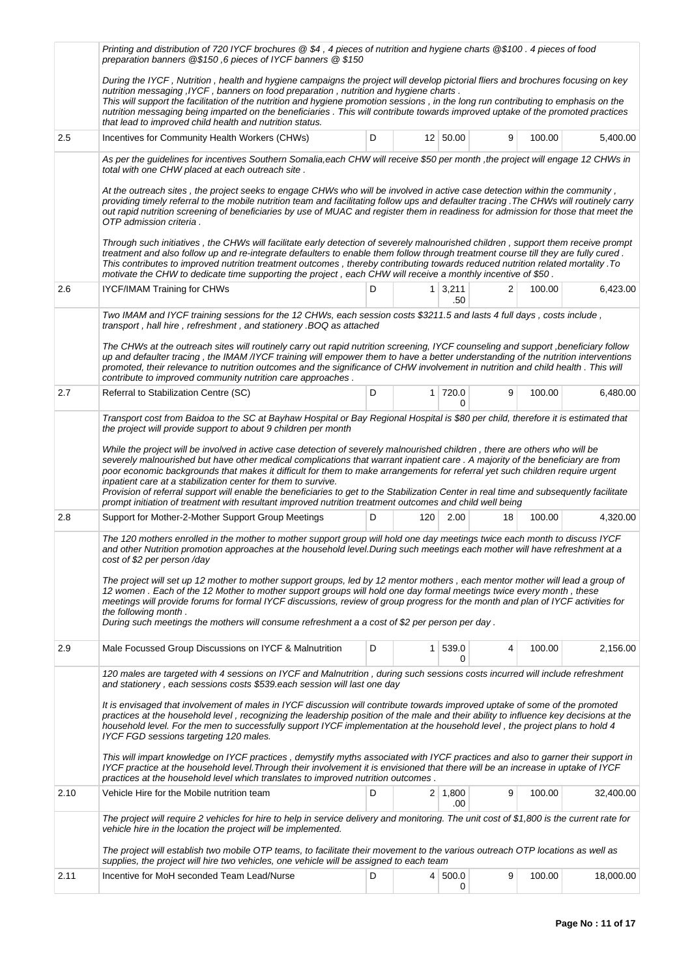|                                                                                                                                                                                                                                                                                                                                     | Printing and distribution of 720 IYCF brochures @ \$4, 4 pieces of nutrition and hygiene charts @\$100. 4 pieces of food<br>preparation banners @\$150,6 pieces of IYCF banners @ \$150                                                                                                                                                                                                                                                                                                                                                                                                 |   |              |                       |    |        |           |  |
|-------------------------------------------------------------------------------------------------------------------------------------------------------------------------------------------------------------------------------------------------------------------------------------------------------------------------------------|-----------------------------------------------------------------------------------------------------------------------------------------------------------------------------------------------------------------------------------------------------------------------------------------------------------------------------------------------------------------------------------------------------------------------------------------------------------------------------------------------------------------------------------------------------------------------------------------|---|--------------|-----------------------|----|--------|-----------|--|
|                                                                                                                                                                                                                                                                                                                                     | During the IYCF, Nutrition, health and hygiene campaigns the project will develop pictorial fliers and brochures focusing on key<br>nutrition messaging, IYCF, banners on food preparation, nutrition and hygiene charts.<br>This will support the facilitation of the nutrition and hygiene promotion sessions, in the long run contributing to emphasis on the<br>nutrition messaging being imparted on the beneficiaries. This will contribute towards improved uptake of the promoted practices<br>that lead to improved child health and nutrition status.                         |   |              |                       |    |        |           |  |
| 2.5                                                                                                                                                                                                                                                                                                                                 | Incentives for Community Health Workers (CHWs)                                                                                                                                                                                                                                                                                                                                                                                                                                                                                                                                          | D |              | 12   50.00            | 9  | 100.00 | 5,400.00  |  |
|                                                                                                                                                                                                                                                                                                                                     | As per the guidelines for incentives Southern Somalia, each CHW will receive \$50 per month , the project will engage 12 CHWs in<br>total with one CHW placed at each outreach site.                                                                                                                                                                                                                                                                                                                                                                                                    |   |              |                       |    |        |           |  |
|                                                                                                                                                                                                                                                                                                                                     | At the outreach sites, the project seeks to engage CHWs who will be involved in active case detection within the community,<br>providing timely referral to the mobile nutrition team and facilitating follow ups and defaulter tracing . The CHWs will routinely carry<br>out rapid nutrition screening of beneficiaries by use of MUAC and register them in readiness for admission for those that meet the<br>OTP admission criteria.                                                                                                                                                |   |              |                       |    |        |           |  |
|                                                                                                                                                                                                                                                                                                                                     | Through such initiatives, the CHWs will facilitate early detection of severely malnourished children, support them receive prompt<br>treatment and also follow up and re-integrate defaulters to enable them follow through treatment course till they are fully cured.<br>This contributes to improved nutrition treatment outcomes, thereby contributing towards reduced nutrition related mortality. To<br>motivate the CHW to dedicate time supporting the project, each CHW will receive a monthly incentive of \$50.                                                              |   |              |                       |    |        |           |  |
| 2.6                                                                                                                                                                                                                                                                                                                                 | <b>IYCF/IMAM Training for CHWs</b>                                                                                                                                                                                                                                                                                                                                                                                                                                                                                                                                                      | D | $\mathbf{1}$ | 3,211<br>.50          | 2  | 100.00 | 6,423.00  |  |
|                                                                                                                                                                                                                                                                                                                                     | Two IMAM and IYCF training sessions for the 12 CHWs, each session costs \$3211.5 and lasts 4 full days, costs include,<br>transport, hall hire, refreshment, and stationery. BOQ as attached                                                                                                                                                                                                                                                                                                                                                                                            |   |              |                       |    |        |           |  |
|                                                                                                                                                                                                                                                                                                                                     | The CHWs at the outreach sites will routinely carry out rapid nutrition screening, IYCF counseling and support, beneficiary follow<br>up and defaulter tracing, the IMAM/IYCF training will empower them to have a better understanding of the nutrition interventions<br>promoted, their relevance to nutrition outcomes and the significance of CHW involvement in nutrition and child health. This will<br>contribute to improved community nutrition care approaches.                                                                                                               |   |              |                       |    |        |           |  |
| 2.7                                                                                                                                                                                                                                                                                                                                 | Referral to Stabilization Centre (SC)                                                                                                                                                                                                                                                                                                                                                                                                                                                                                                                                                   | D |              | 1 720.0<br>0          | 9  | 100.00 | 6,480.00  |  |
| Transport cost from Baidoa to the SC at Bayhaw Hospital or Bay Regional Hospital is \$80 per child, therefore it is estimated that<br>the project will provide support to about 9 children per month<br>While the project will be involved in active case detection of severely malnourished children, there are others who will be |                                                                                                                                                                                                                                                                                                                                                                                                                                                                                                                                                                                         |   |              |                       |    |        |           |  |
|                                                                                                                                                                                                                                                                                                                                     | severely malnourished but have other medical complications that warrant inpatient care. A majority of the beneficiary are from<br>poor economic backgrounds that makes it difficult for them to make arrangements for referral yet such children require urgent<br>inpatient care at a stabilization center for them to survive.<br>Provision of referral support will enable the beneficiaries to get to the Stabilization Center in real time and subsequently facilitate<br>prompt initiation of treatment with resultant improved nutrition treatment outcomes and child well being |   |              |                       |    |        |           |  |
| 2.8                                                                                                                                                                                                                                                                                                                                 | Support for Mother-2-Mother Support Group Meetings                                                                                                                                                                                                                                                                                                                                                                                                                                                                                                                                      | D | 120          | 2.00                  | 18 | 100.00 | 4.320.00  |  |
|                                                                                                                                                                                                                                                                                                                                     | The 120 mothers enrolled in the mother to mother support group will hold one day meetings twice each month to discuss IYCF<br>and other Nutrition promotion approaches at the household level. During such meetings each mother will have refreshment at a<br>cost of \$2 per person /day                                                                                                                                                                                                                                                                                               |   |              |                       |    |        |           |  |
|                                                                                                                                                                                                                                                                                                                                     | The project will set up 12 mother to mother support groups, led by 12 mentor mothers, each mentor mother will lead a group of<br>12 women. Each of the 12 Mother to mother support groups will hold one day formal meetings twice every month, these<br>meetings will provide forums for formal IYCF discussions, review of group progress for the month and plan of IYCF activities for<br>the following month.<br>During such meetings the mothers will consume refreshment a a cost of \$2 per person per day.                                                                       |   |              |                       |    |        |           |  |
| 2.9                                                                                                                                                                                                                                                                                                                                 | Male Focussed Group Discussions on IYCF & Malnutrition                                                                                                                                                                                                                                                                                                                                                                                                                                                                                                                                  | D | 1.           | 539.0<br>0            | 4  | 100.00 | 2,156.00  |  |
|                                                                                                                                                                                                                                                                                                                                     | 120 males are targeted with 4 sessions on IYCF and Malnutrition, during such sessions costs incurred will include refreshment<br>and stationery, each sessions costs \$539.each session will last one day                                                                                                                                                                                                                                                                                                                                                                               |   |              |                       |    |        |           |  |
|                                                                                                                                                                                                                                                                                                                                     | It is envisaged that involvement of males in IYCF discussion will contribute towards improved uptake of some of the promoted<br>practices at the household level, recognizing the leadership position of the male and their ability to influence key decisions at the<br>household level. For the men to successfully support IYCF implementation at the household level, the project plans to hold 4<br>IYCF FGD sessions targeting 120 males.                                                                                                                                         |   |              |                       |    |        |           |  |
|                                                                                                                                                                                                                                                                                                                                     | This will impart knowledge on IYCF practices, demystify myths associated with IYCF practices and also to garner their support in<br>IYCF practice at the household level. Through their involvement it is envisioned that there will be an increase in uptake of IYCF<br>practices at the household level which translates to improved nutrition outcomes.                                                                                                                                                                                                                              |   |              |                       |    |        |           |  |
| 2.10                                                                                                                                                                                                                                                                                                                                | Vehicle Hire for the Mobile nutrition team                                                                                                                                                                                                                                                                                                                                                                                                                                                                                                                                              | D |              | $2 \mid 1,800$<br>.00 | 9  | 100.00 | 32,400.00 |  |
|                                                                                                                                                                                                                                                                                                                                     | The project will require 2 vehicles for hire to help in service delivery and monitoring. The unit cost of \$1,800 is the current rate for<br>vehicle hire in the location the project will be implemented.                                                                                                                                                                                                                                                                                                                                                                              |   |              |                       |    |        |           |  |
|                                                                                                                                                                                                                                                                                                                                     | The project will establish two mobile OTP teams, to facilitate their movement to the various outreach OTP locations as well as<br>supplies, the project will hire two vehicles, one vehicle will be assigned to each team                                                                                                                                                                                                                                                                                                                                                               |   |              |                       |    |        |           |  |
| 2.11                                                                                                                                                                                                                                                                                                                                | Incentive for MoH seconded Team Lead/Nurse                                                                                                                                                                                                                                                                                                                                                                                                                                                                                                                                              | D |              | 4   500.0<br>0        | 9  | 100.00 | 18,000.00 |  |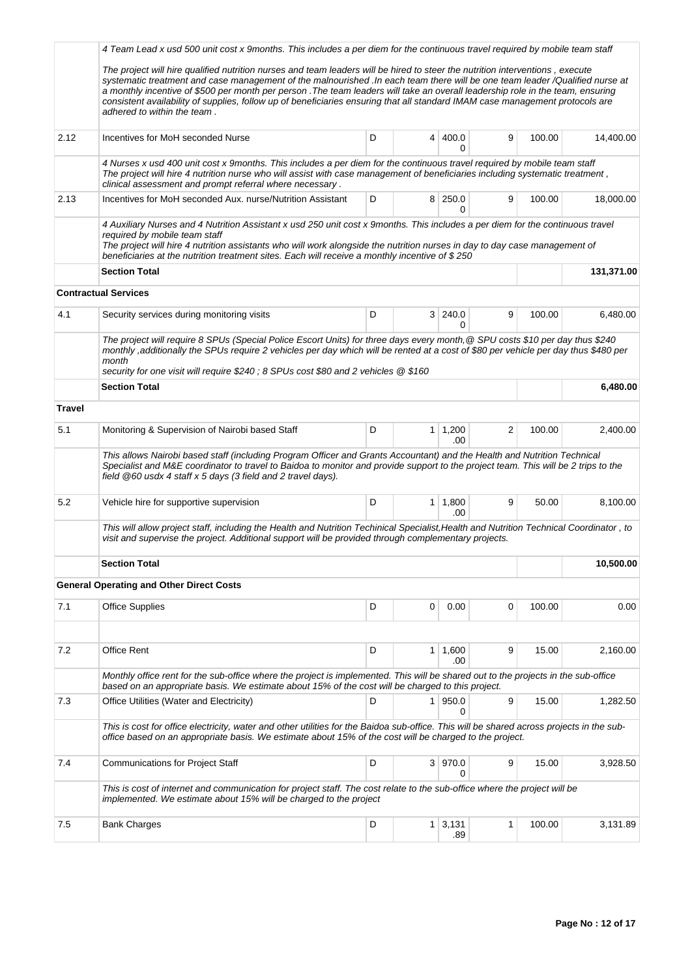|               | 4 Team Lead x usd 500 unit cost x 9months. This includes a per diem for the continuous travel required by mobile team staff                                                                                                                                                                                                                                                                                                                                                                                                                                      |   |                |                       |   |        |            |
|---------------|------------------------------------------------------------------------------------------------------------------------------------------------------------------------------------------------------------------------------------------------------------------------------------------------------------------------------------------------------------------------------------------------------------------------------------------------------------------------------------------------------------------------------------------------------------------|---|----------------|-----------------------|---|--------|------------|
|               | The project will hire qualified nutrition nurses and team leaders will be hired to steer the nutrition interventions, execute<br>systematic treatment and case management of the malnourished .In each team there will be one team leader /Qualified nurse at<br>a monthly incentive of \$500 per month per person . The team leaders will take an overall leadership role in the team, ensuring<br>consistent availability of supplies, follow up of beneficiaries ensuring that all standard IMAM case management protocols are<br>adhered to within the team. |   |                |                       |   |        |            |
| 2.12          | Incentives for MoH seconded Nurse                                                                                                                                                                                                                                                                                                                                                                                                                                                                                                                                | D |                | 4 400.0<br>U          | 9 | 100.00 | 14,400.00  |
|               | 4 Nurses x usd 400 unit cost x 9months. This includes a per diem for the continuous travel required by mobile team staff<br>The project will hire 4 nutrition nurse who will assist with case management of beneficiaries including systematic treatment,<br>clinical assessment and prompt referral where necessary.                                                                                                                                                                                                                                            |   |                |                       |   |        |            |
| 2.13          | Incentives for MoH seconded Aux, nurse/Nutrition Assistant                                                                                                                                                                                                                                                                                                                                                                                                                                                                                                       | D |                | 8 250.0<br>0          | 9 | 100.00 | 18.000.00  |
|               | 4 Auxiliary Nurses and 4 Nutrition Assistant x usd 250 unit cost x 9months. This includes a per diem for the continuous travel<br>required by mobile team staff<br>The project will hire 4 nutrition assistants who will work alongside the nutrition nurses in day to day case management of<br>beneficiaries at the nutrition treatment sites. Each will receive a monthly incentive of \$250                                                                                                                                                                  |   |                |                       |   |        |            |
|               | <b>Section Total</b>                                                                                                                                                                                                                                                                                                                                                                                                                                                                                                                                             |   |                |                       |   |        | 131,371.00 |
|               | <b>Contractual Services</b>                                                                                                                                                                                                                                                                                                                                                                                                                                                                                                                                      |   |                |                       |   |        |            |
| 4.1           | Security services during monitoring visits                                                                                                                                                                                                                                                                                                                                                                                                                                                                                                                       | D |                | 3 240.0<br>0          | 9 | 100.00 | 6,480.00   |
|               | The project will require 8 SPUs (Special Police Escort Units) for three days every month, @ SPU costs \$10 per day thus \$240<br>monthly ,additionally the SPUs require 2 vehicles per day which will be rented at a cost of \$80 per vehicle per day thus \$480 per<br>month<br>security for one visit will require \$240; 8 SPUs cost \$80 and 2 vehicles @ \$160                                                                                                                                                                                              |   |                |                       |   |        |            |
|               | <b>Section Total</b>                                                                                                                                                                                                                                                                                                                                                                                                                                                                                                                                             |   |                |                       |   |        | 6,480.00   |
| <b>Travel</b> |                                                                                                                                                                                                                                                                                                                                                                                                                                                                                                                                                                  |   |                |                       |   |        |            |
| 5.1           | Monitoring & Supervision of Nairobi based Staff                                                                                                                                                                                                                                                                                                                                                                                                                                                                                                                  | D |                | $1 \mid 1,200$<br>.00 | 2 | 100.00 | 2,400.00   |
|               | This allows Nairobi based staff (including Program Officer and Grants Accountant) and the Health and Nutrition Technical<br>Specialist and M&E coordinator to travel to Baidoa to monitor and provide support to the project team. This will be 2 trips to the<br>field @60 usdx 4 staff x 5 days (3 field and 2 travel days).                                                                                                                                                                                                                                   |   |                |                       |   |        |            |
| 5.2           | Vehicle hire for supportive supervision                                                                                                                                                                                                                                                                                                                                                                                                                                                                                                                          | D |                | $1 \mid 1,800$<br>.00 | 9 | 50.00  | 8,100.00   |
|               | This will allow project staff, including the Health and Nutrition Techinical Specialist, Health and Nutrition Technical Coordinator, to<br>visit and supervise the project. Additional support will be provided through complementary projects.                                                                                                                                                                                                                                                                                                                  |   |                |                       |   |        |            |
|               | <b>Section Total</b>                                                                                                                                                                                                                                                                                                                                                                                                                                                                                                                                             |   |                | 10,500.00             |   |        |            |
|               | <b>General Operating and Other Direct Costs</b>                                                                                                                                                                                                                                                                                                                                                                                                                                                                                                                  |   |                |                       |   |        |            |
| 7.1           | <b>Office Supplies</b>                                                                                                                                                                                                                                                                                                                                                                                                                                                                                                                                           | D | 0              | 0.00                  | 0 | 100.00 | 0.00       |
|               |                                                                                                                                                                                                                                                                                                                                                                                                                                                                                                                                                                  |   |                |                       |   |        |            |
| 7.2           | Office Rent                                                                                                                                                                                                                                                                                                                                                                                                                                                                                                                                                      | D | $\mathbf{1}$   | 1,600<br>.00          | 9 | 15.00  | 2,160.00   |
|               | Monthly office rent for the sub-office where the project is implemented. This will be shared out to the projects in the sub-office<br>based on an appropriate basis. We estimate about 15% of the cost will be charged to this project.                                                                                                                                                                                                                                                                                                                          |   |                |                       |   |        |            |
| 7.3           | Office Utilities (Water and Electricity)                                                                                                                                                                                                                                                                                                                                                                                                                                                                                                                         | D | 1 <sup>1</sup> | 950.0<br>0            | 9 | 15.00  | 1,282.50   |
|               | This is cost for office electricity, water and other utilities for the Baidoa sub-office. This will be shared across projects in the sub-<br>office based on an appropriate basis. We estimate about 15% of the cost will be charged to the project.                                                                                                                                                                                                                                                                                                             |   |                |                       |   |        |            |
| 7.4           | <b>Communications for Project Staff</b>                                                                                                                                                                                                                                                                                                                                                                                                                                                                                                                          | D |                | 3   970.0<br>0        | 9 | 15.00  | 3,928.50   |
|               | This is cost of internet and communication for project staff. The cost relate to the sub-office where the project will be<br>implemented. We estimate about 15% will be charged to the project                                                                                                                                                                                                                                                                                                                                                                   |   |                |                       |   |        |            |
| 7.5           | <b>Bank Charges</b>                                                                                                                                                                                                                                                                                                                                                                                                                                                                                                                                              | D | 1 <sup>1</sup> | 3,131<br>.89          | 1 | 100.00 | 3,131.89   |